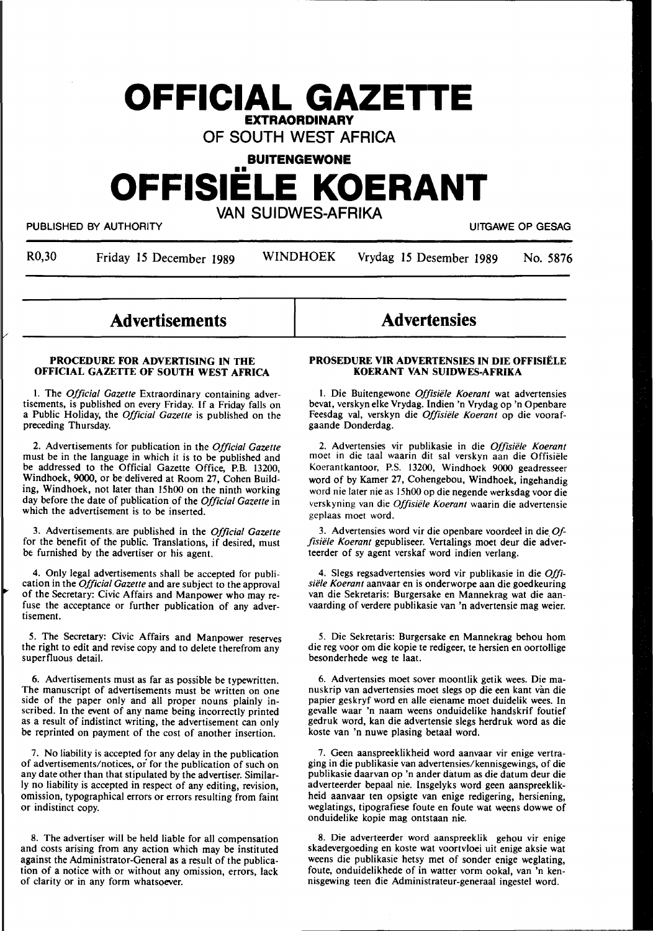## **OFFICIAL GAZETTE EXTRAORDINARY**

**OF SOUTH WEST AFRICA** 

**BUITENGEWONE** 

# •• **OFFISIELE KOERANT VAN SUIDWES-AFRIKA**

PUBLISHED BY AUTHORITY **EXAMPLE ASSAULTS AND THE SECOND TEST OF AUTHORITY** CHARGE OF GESAG

R0,30 Friday 15 December 1989 WINDHOEK Vrydag 15 Desember 1989 No. 5876

### **Advertisements**

**PROCEDURE FOR ADVERTISING IN THE OFFICIAL GAZETTE OF SOUTH WEST AFRICA** 

l. The *Official Gazette* Extraordinary containing advertisements, is published on every Friday. If a Friday falls on a Public Holiday, the *Official Gazette* is published on the preceding Thursday.

2. Advertisements for publication in the *Official Gazette*  must be in the language in which it is to be published and be addressed to the Official Gazette Office, P.B. 13200, Windhoek, 9000, or be delivered at Room 27, Cohen Building, Windhoek, not later than 15h00 on the ninth working day before the date of publication of the *Official Gazette* in which the advertisement is to be inserted.

3. Advertisements. are published in the *Official Gazette*  for the benefit of the public. Translations, if desired, must be furnished by the advertiser or his agent.

4. Only legal advertisements shall be accepted for publication in the *Official Gazette* and are subject to the approval of the Secretary: Civic Affairs and Manpower who may refuse the acceptance or further publication of any advertisement.

5. The Secretary: Civic Affairs and Manpower reserves the right to edit and revise copy and to delete therefrom any superfluous detail.

6. Advertisements must as far as possible be typewritten. The manuscript of advertisements must be written on one side of the paper only and all proper nouns plainly inscribed. In the event of any name being incorrectly printed as a result of indistinct writing, the advertisement can only be reprinted on payment of the cost of another insertion.

7. No liability is accepted for any delay in the publication of advertisements/notices, *oi* for the publication of such on any date other than that stipulated by the advertiser. Similarly no liability is accepted in respect of any editing, revision, omission, typographical errors or errors resulting from faint or indistinct copy.

8. The advertiser will be held liable for all compensation and costs arising from any action which may be instituted against the Administrator-General as a result of the publication of a notice with or without any omission, errors, lack of clarity or in any form whatsoever.

### **PROSEDURE VIR ADVERTENSIES IN DIE OFFISIELE KOERANT VAN SUIDWES-AFRIKA**

**Advertensies** 

l. Die Buitengewone *Offisiele Koerant* wat advertensies bevat, verskyn elke Vrydag. Indien 'n Vrydag op 'n Openbare Feesdag val, verskyn die *Offisiele Koerant* op die voorafgaande Donderdag.

2. Advertensies vir publikasie in die *Offisiele Koerant*  moet in die taal waarin dit sal verskyn aan die Offisiele Koerantkantoor, P.S. 13200, Windhoek 9000 geadresseer word of by Kamer 27, Cohengebou, Windhoek, ingehandig word nie later nie as 15h00 op die negende werksdag voor die verskyning van die *Offisiele Koerant* waarin die advertensie geplaas moet word.

3. Advertensies word vir die openbare voordeel in die\_ *Offisiele Koerant* gepubliseer. Vertalings moet deur die adverteerder of sy agent verskaf word indien verlang.

4. Slegs regsadvertensies word vir publikasie in die *Offisiele Koerant* aanvaar en is onderworpe aan die goedkeuring van die Sekretaris: Burgersake en Mannekrag wat die aanvaarding of verdere publikasie van 'n advertensie mag weier.

5. Die Sekretaris: Burgersake en Mannekrag behou hom die reg voor om die kopie te redigeer, te hersien en oortollige besonderhede weg te Iaat.

6. Advertensies moet sover moontlik getik wees. Die manuskrip van advertensies moet slegs op die een kant van die papier geskryf word en alle eiename moet duidelik wees. In gevalle waar 'n naam weens onduidelike handskrif foutief gedruk word, kan die advertensie slegs herdruk word as die koste van 'n nuwe plasing betaal word.

7. Geen aanspreeklikheid word aanvaar vir enige vertraging in die publikasie van advertensies/kennisgewings, of die publikasie daarvan op 'n ander datum as die datum deur die adverteerder bepaal nie. Insgelyks word geen aanspreeklikheid aanvaar ten opsigte van enige redigering, hersiening, weglatings, tipografiese foute en foute wat weens dowwe of onduidelike kopie mag ontstaan nie.

8. Die adverteerder word aanspreeklik gehou vir enige skadevergoeding en koste wat voortvloei uit enige aksie wat weens die publikasie hetsy met of sonder enige weglating, foute, onduidelikhede of in watter vorm ookal, van 'n kennisgewing teen die Administrateur-generaal ingestel word.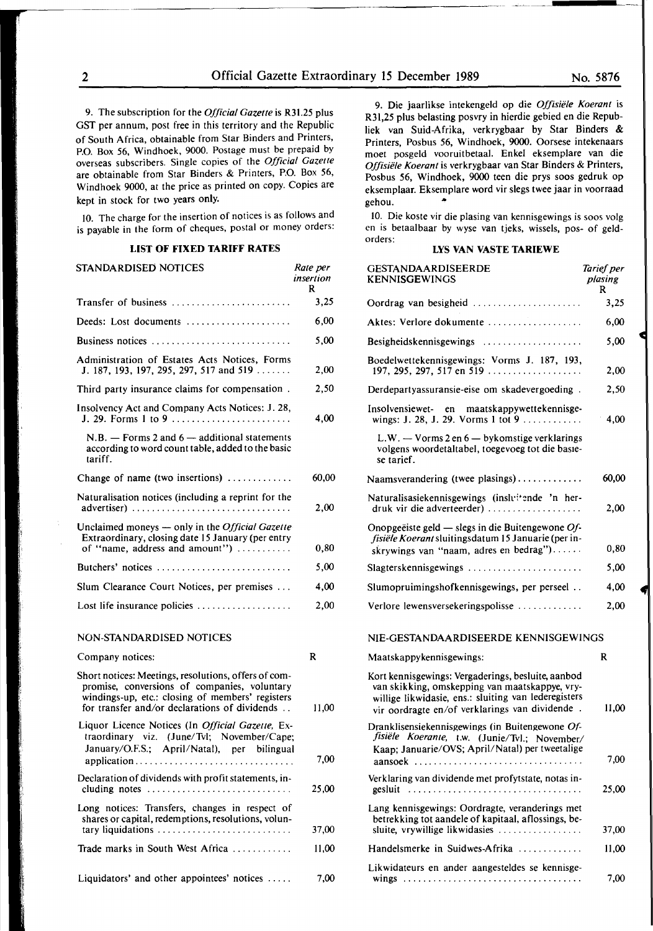9. The subscription for the *Official Gazette* is R31.25 plus GST per annum, post free in this territory and the Republic of South Africa, obtainable from Star Binders and Printers, P.O. Box 56, Windhoek, 9000. Postage must be prepaid by overseas subscribers. Single copies of the *Official Gazette*  are obtainable from Star Binders & Printers, P.O. Box 56, Windhoek 9000, at the price as printed on copy. Copies are kept in stock for two years only.

IO. The charge for the insertion of notices is as follows and is payable in the form of cheques, postal or money orders:

#### **LIST OF FIXED TARIFF RATES**

| STANDARDISED NOTICES                                                                                                                                                                                      | Rate per<br>insertion<br>R |
|-----------------------------------------------------------------------------------------------------------------------------------------------------------------------------------------------------------|----------------------------|
| Transfer of business                                                                                                                                                                                      | 3,25                       |
| Deeds: Lost documents                                                                                                                                                                                     | 6,00                       |
| Business notices                                                                                                                                                                                          | 5,00                       |
| Administration of Estates Acts Notices, Forms<br>J. 187, 193, 197, 295, 297, 517 and 519                                                                                                                  | 2,00                       |
| Third party insurance claims for compensation.                                                                                                                                                            | 2,50                       |
| Insolvency Act and Company Acts Notices: J. 28,<br>J. 29. Forms 1 to 9                                                                                                                                    | 4,00                       |
| $N.B.$ - Forms 2 and $6$ - additional statements<br>according to word count table, added to the basic<br>tariff.                                                                                          |                            |
| Change of name (two insertions)                                                                                                                                                                           | 60,00                      |
| Naturalisation notices (including a reprint for the                                                                                                                                                       | 2,00                       |
| Unclaimed moneys — only in the <i>Official Gazette</i><br>Extraordinary, closing date 15 January (per entry<br>of "name, address and amount")                                                             | 0,80                       |
| Butchers' notices                                                                                                                                                                                         | 5,00                       |
| Slum Clearance Court Notices, per premises                                                                                                                                                                | 4,00                       |
| Lost life insurance policies                                                                                                                                                                              | 2,00                       |
| NON-STANDARDISED NOTICES                                                                                                                                                                                  |                            |
| Company notices:                                                                                                                                                                                          | R                          |
| Short notices: Meetings, resolutions, offers of com-<br>promise, conversions of companies, voluntary<br>windings-up, etc.: closing of members' registers<br>for transfer and/or declarations of dividends | 11,00                      |
| Liquor Licence Notices (In Official Gazette, Ex-<br>traordinary viz. (June/Tvl; November/Cape;<br>January/O.F.S.; April/Natal), per bilingual                                                             | 7,00                       |
| Declaration of dividends with profit statements, in-<br>cluding notes                                                                                                                                     | 25,00                      |
| Long notices: Transfers, changes in respect of<br>shares or capital, redemptions, resolutions, volun-<br>tary liquidations                                                                                | 37,00                      |
| Trade marks in South West Africa                                                                                                                                                                          | 11,00                      |
| Liquidators' and other appointees' notices                                                                                                                                                                | 7,00                       |

9. Die jaarlikse intekengeld op die *Offisiele Koerant* is R31,25 plus belasting posvry in hierdie gebied en die Republiek van Suid-Afrika, verkrygbaar by Star Binders & Printers, Posbus 56, Windhoek, 9000. Oorsese intekenaars moet posgeld vooruitbetaal. Enkel eksemplare van die *Offisiele Koerant* is verkrygbaar van Star Binders & Printers, Posbus 56, Windhoek, 9000 teen die prys soos gedruk op eksemplaar. Eksemplare word vir slegs twee jaar in voorraad gehou.

IO. Die koste vir die plasing van kennisgewings is soos volg en is bctaalbaar by wyse van tjeks, wissels, pos- of geldorders:

#### **LYS VAN VASTE TARIEWE**

| GESTANDAARDISEERDE<br><b>KENNISGEWINGS</b>                                                                                                                                                                     | Tarief per<br>plasing<br>R |
|----------------------------------------------------------------------------------------------------------------------------------------------------------------------------------------------------------------|----------------------------|
| Oordrag van besigheid                                                                                                                                                                                          | 3,25                       |
| Aktes: Verlore dokumente                                                                                                                                                                                       | 6,00                       |
| Besigheidskennisgewings                                                                                                                                                                                        | 5,00                       |
| Boedelwettekennisgewings: Vorms J. 187, 193,<br>197, 295, 297, 517 en 519                                                                                                                                      | 2,00                       |
| Derdepartyassuransie-eise om skadevergoeding.                                                                                                                                                                  | 2,50                       |
| Insolvensiewet- en maatskappywettekennisge-<br>wings: J. 28, J. 29. Vorms 1 tot 9                                                                                                                              | 4,00                       |
| L.W. - Vorms 2 en 6 - bykomstige verklarings<br>volgens woordetaltabel, toegevoeg tot die basie-<br>se tarief.                                                                                                 |                            |
| Naamsverandering (twee plasings)                                                                                                                                                                               | 60,00                      |
| Naturalisasiekennisgewings (insluitende 'n her-<br>druk vir die adverteerder)                                                                                                                                  | 2,00                       |
| Onopgeëiste geld — slegs in die Buitengewone Of-<br>fisiële Koerant sluitingsdatum 15 Januarie (per in-<br>skrywings van "naam, adres en bedrag")                                                              | 0,80                       |
| Slagterskennisgewings                                                                                                                                                                                          | 5,00                       |
| Slumopruimingshofkennisgewings, per perseel                                                                                                                                                                    | 4,00                       |
| Verlore lewensversekeringspolisse                                                                                                                                                                              | 2,00                       |
| NIE-GESTANDAARDISEERDE KENNISGEWINGS                                                                                                                                                                           |                            |
| Maatskappykennisgewings:                                                                                                                                                                                       | R                          |
| Kort kennisgewings: Vergaderings, besluite, aanbod<br>van skikking, omskepping van maatskappye, vry-<br>willige likwidasie, ens.: sluiting van lederegisters<br>vir oordragte en/of verklarings van dividende. | 11.00                      |
| Dranklisensiekennisgewings (in Buitengewone Of-<br>fisiële Koerante, t.w. (Junie/Tvl.; November/<br>Kaap; Januarie/OVS; April/Natal) per tweetalige<br>aansoek<br>.                                            | 7,00                       |
| Verklaring van dividende met profytstate, notas in-<br>gesluit                                                                                                                                                 | 25,00                      |
| Lang kennisgewings: Oordragte, veranderings met<br>betrekking tot aandele of kapitaal, aflossings, be-<br>sluite, vrywillige likwidasies                                                                       | 37,00                      |
| Handelsmerke in Suidwes-Afrika                                                                                                                                                                                 | 11,00                      |
| Likwidateurs en ander aangesteldes se kennisge-<br>wings                                                                                                                                                       | 7,00                       |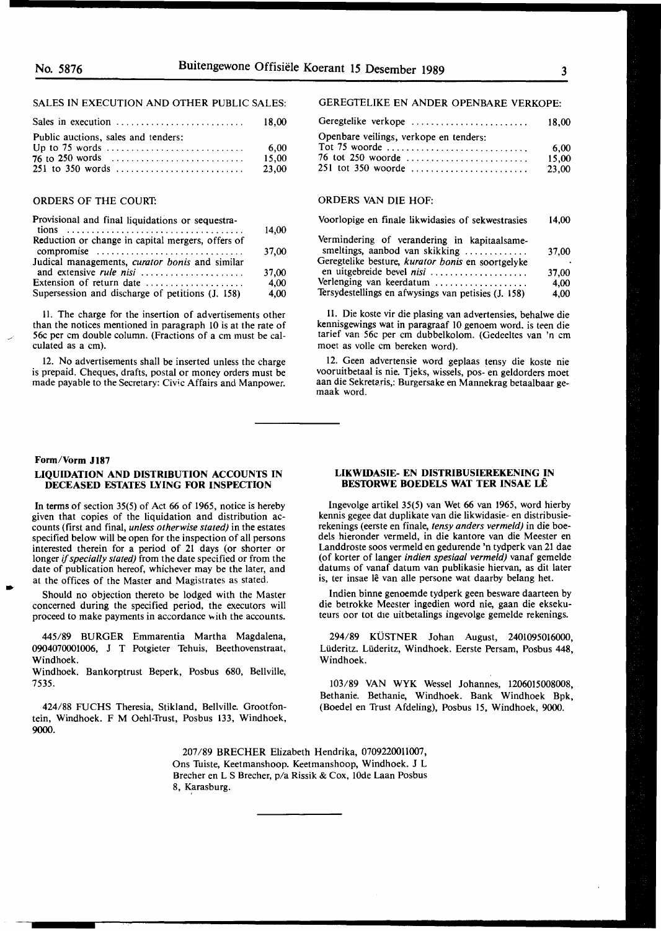#### SALES IN EXECUTION AND OTHER PUBLIC SALES:

| Sales in execution $\ldots \ldots \ldots \ldots \ldots \ldots \ldots$ 18.00 |        |
|-----------------------------------------------------------------------------|--------|
| Public auctions, sales and tenders:                                         |        |
| Up to 75 words $\dots \dots \dots \dots \dots \dots \dots \dots \dots$      | - 6.00 |
| 76 to 250 words $\ldots \ldots \ldots \ldots \ldots \ldots \ldots \ldots$   | 15.00  |
|                                                                             | 23.00  |

#### ORDERS OF THE COURT:

| Provisional and final liquidations or sequestra-      |       |
|-------------------------------------------------------|-------|
| tions.                                                | 14,00 |
| Reduction or change in capital mergers, offers of     |       |
| compromise                                            | 37,00 |
| Judical managements, <i>curator bonis</i> and similar |       |
| and extensive rule nisi                               | 37,00 |
| Extension of return date                              | 4.00  |
| Supersession and discharge of petitions (J. 158)      | 4,00  |
|                                                       |       |

II. The charge for the insertion of advertisements other than the notices mentioned in paragraph 10 is at the rate of 56c per cm double column. (Fractions of a cm must be calculated as a cm).

12. No advertisements shall be inserted unless the charge is prepaid. Cheques, drafts, postal or money orders must be made payable to the Secretary: Civic Affairs and Manpower.

#### **Form/Vorm J187**

..

#### **LIQUIDATION AND DISTRIBUTION ACCOUNTS IN DECEASED ESTATES LYING FOR INSPECTION**

In **terms** of section 35(5) of Act 66 of 1965, notice is hereby given that copies of the liquidation and distribution accounts (first and final, *unless otherwise stated)* in the estates specified below will be open for the inspection of all persons interested therein for a period of 21 days (or shorter or longer if *specially stated)* from the date specified or from the date of publication hereof, whichever may be the later, and at the offices of the Master and Magistrates as stated.

Should no objection thereto be lodged with the Master concerned during the specified period, the executors will proceed to make payments in accordance with the accounts.

445/89 BURGER Emmarentia Martha Magdalena, 0904070001006, J T Potgieter Tehuis, Beethovenstraat, Windhoek.

Windhoek. Bankorptrust Beperk, Posbus 680, Bellville, 7535.

424/88 FUCHS Theresia, Stikland, Bellville. Grootfontein, Windhoek. F M Oehl-Trust, Posbus 133, Windhoek, 9000.

#### GEREGTELIKE EN ANDER OPENBARE VERKOPE:

| Geregtelike verkope                    | 18.00 |
|----------------------------------------|-------|
| Openbare veilings, verkope en tenders: |       |
|                                        | 6.00  |
| 76 tot 250 woorde                      | 15.00 |
| 251 tot 350 woorde                     | 23.00 |

#### ORDERS VAN DIE HOF:

| Voorlopige en finale likwidasies of sekwestrasies                              | 14,00 |
|--------------------------------------------------------------------------------|-------|
| Vermindering of verandering in kapitaalsame-<br>smeltings, aanbod van skikking | 37.00 |
| Geregtelike besture, kurator bonis en soortgelyke                              |       |
| en uitgebreide bevel nisi                                                      | 37.00 |
| Verlenging van keerdatum                                                       | 4.00  |
| Tersydestellings en afwysings van petisies (J. 158)                            | 4.00  |

II. Die koste vir die plasing van advertensies, behalwe die kennisgewings wat in paragraaf 10 genoem word. is teen die tarief van 56c per cm dubbelkolom. (Gedeeltes van 'n cm moet as voile cm bereken word).

12. Geen advertensie word geplaas tensy die koste nie vooruitbetaal is nie. Tjeks, wissels, pos- en geldorders moet aan die Sekretaris,: Burgersake en Mannekrag betaalbaar gemaak word.

#### **LIKWIDASIE- EN DISTRIBUSIEREKENING IN BES10RWE BOEDELS WAT TER INSAE LE**

lngevolge artikel 35(5) van Wet 66 van 1965, word hierby kennis gegee dat duplikate van die likwidasie- en distribusierekenings (eerste en finale, *tensy anders vermeld)* in die boedels hieronder vermeld, in die kantore van die Meester en Landdroste soos vermeld en gedurende 'n tydperk van 21 dae (of korter of !anger *indien spesiaal vermeld)* vanaf gemelde datums of vanaf datum van publikasie hiervan, as dit later is, ter insae lê van alle persone wat daarby belang het.

Indien binne genoemde tydperk geen besware daarteen by die betrokke Meester ingedien word nie, gaan die eksekuteurs oor tot die uitbetalings ingevolge gemelde rekenings.

294/89 KUSTNER Johan August, 2401095016000, Lüderitz. Lüderitz, Windhoek. Eerste Persam, Posbus 448, Windhoek.

103/89 VAN **WYK** Wessel Johannes, 1206015008008, Bethanie. Bethanie, Windhoek. Bank Windhoek Bpk, (Boedel en Trust Afdeling), Posbus 15, Windhoek, 9000.

207/89 BRECHER Elizabeth Hendrika, 0709220011007, Ons Tuiste, Keetmanshoop. Keetmanshoop, Windhoek. J L Brecher en L S Brecher, p/a Rissik & Cox, lOde Laan Posbus 8, Karasburg.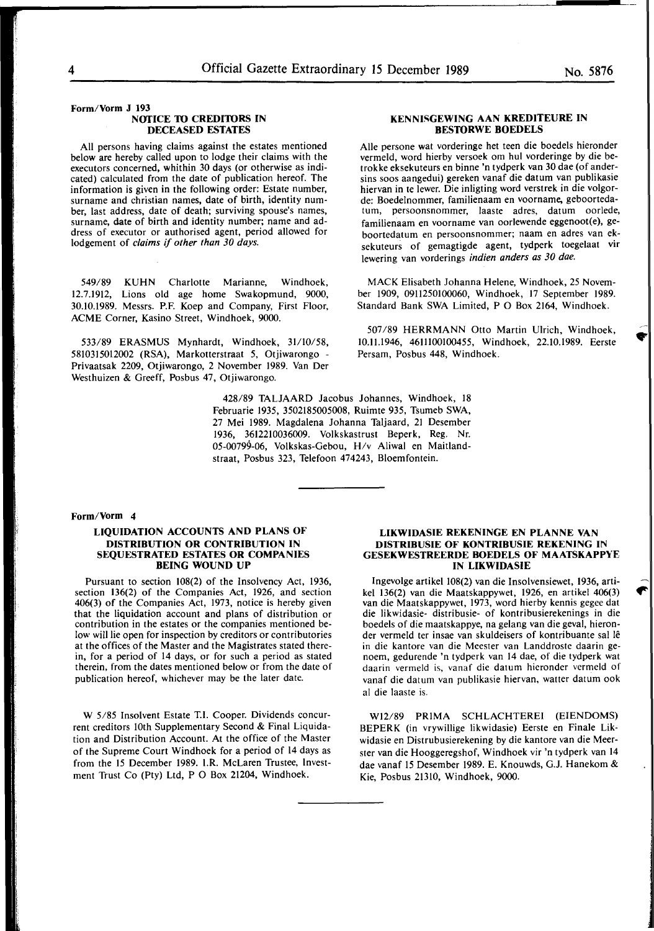**Form/Vorm J 193** 

#### **NOTICE TO CREDITORS IN DECEASED ESTATES**

All persons having claims against the estates mentioned below are hereby called upon to lodge their claims with the executors concerned, whithin 30 days (or otherwise as indicated) calculated from the date of publication hereof. The information is given in the following order: Estate number, surname and christian names, date of birth, identity number, last address, date of death; surviving spouse's names, surname, date of birth and identity number; name and address of executor or authorised agent, period allowed for lodgement of *claims* if *other than 30 days.* 

549/89 KUHN Charlotte Marianne, Windhoek, 12.7.1912, Lions old age home Swakopmund, 9000, 30.10.1989. Messrs. P.F. Koep and Company, First Floor, ACME Corner, Kasino Street, Windhoek, 9000.

533/89 ERASMUS Mynhardt, Windhoek, 31/10/58, 5810315012002 (RSA), Markotterstraat 5, Otjiwarongo - Privaatsak 2209, Otjiwarongo, 2 November 1989. Van Der Westhuizen & Greeff, Posbus 47, Otjiwarongo.

> 428/89 TALJAARD Jacobus Johannes, Windhoek, 18 Februarie 1935, 3502185005008, Ruimte 935, Tsumeb SWA, 27 Mei 1989. Magdalena Johanna Taljaard, 21 Desember 1936, 3612210036009. Volkskastrust Beperk, Reg. Nr. 05-00799-06, Volkskas-Gebou, H/v Aliwal en Maitlandstraat, Posbus 323, Telefoon 474243, Bloemfontein.

#### **Form/Vorm 4**

 $\mathbb{I}_1$ 

#### **LIQUIDATION ACCOUNTS AND PLANS OF DISTRIBUTION OR CONTRIBUTION IN SEQUESTRATED ESTATES OR COMPANIES BEING WOUND UP**

Pursuant to section 108(2) of the Insolvency Act, 1936, section 136(2) of the Companies Act, 1926, and section 406(3) of the Companies Act, 1973, notice is hereby given that the liquidation account and plans of distribution or contribution in the estates or the companies mentioned below will lie open for inspection by creditors or contributories at the offices of the Master and the Magistrates stated therein, for a period of 14 days, or for such a period as stated therein, from the dates mentioned below or from the date of publication hereof, whichever may be the later date.

W 5/85 Insolvent Estate T.I. Cooper. Dividends concurrent creditors 10th Supplementary Second & Final Liquidation and Distribution Account. At the office of the Master of the Supreme Court Windhoek for a period of 14 days as from the 15 December 1989. l.R. McLaren Trustee, Investment Trust Co (Pty) Ltd, P O Box 21204, Windhoek.

#### **KENNISGEWING AAN KREDITEURE IN BESTORWE BOEDELS**

Alie persone wat vorderinge het teen die boedels hieronder vermeld, word hierby versoek om hul vorderinge by die betrokke eksekuteurs en binne 'n tydperk van 30 dae (of andersins soos aangedui) gereken vanaf die datum van publikasie hiervan in te lewer. Die inligting word verstrek in die volgorde: Boedelnommer, familienaam en voorname, geboortedatum, persoonsnommer, laaste adres, datum oorlede, familienaam en voorname van oorlewende eggenoot(e), geboortedatum en persoonsnommer; naam en adres van eksekuteurs of gemagtigde agent, tydperk toegelaat vir lewering van vorderings *indien anders as 30 dae.* 

MACK Elisabeth Johanna Helene, Windhoek, 25 November 1909, 0911250100060, Windhoek, 17 September 1989. Standard Bank SWA Limited, P O Box 2164, Windhoek.

507 /89 HERRMANN Otto Martin Ulrich, Windhoek, 10.11.1946, 4611100100455, Windhoek, 22.10.1989. Eerste Persam, Posbus 448, Windhoek.

#### **LIKWIDASIE REKENINGE EN PLANNE VAN DISTRIBUSIE OF KONTRIBUSIE REKENING IN GESEKWESTREERDE BOEDELS OF MAATSKAPPYE IN LIKWIDASIE**

Ingevolge artikel 108(2) van die Insolvensiewet, 1936, artikel 136(2) van die Maatskappywet, 1926, en artikel 406(3) van die Maatskappywet, 1973, word hierby kennis gegee dat die likwidasie- distribusie- of kontribusierekenings in die boedels of die maatskappye, na gelang van die geval, hieronder vermeld ter insae van skuldeisers of kontribuante sal lê in die kantore van die Meester van Landdroste daarin genoem, gedurende 'n tydperk van 14 dae, of die tydperk wat daarin vermeld is, vanaf die datum hieronder vermeld of vanaf die datum van publikasie hiervan, watter datum ook al die laaste is.

Wl2/89 **PRIMA** SCHLACHTEREI (EIENDOMS) BEPERK (in vrywillige likwidasie) Eerste en Finale Likwidasie en Distrubusierekening by die kantore van die Meerster van die Hooggeregshof, Windhoek vir 'n tydperk van 14 dae vanaf 15 Desember 1989. E. Knouwds, G.J. Hanekom & Kie, Posbus 21310, Windhoek, 9000.

**•**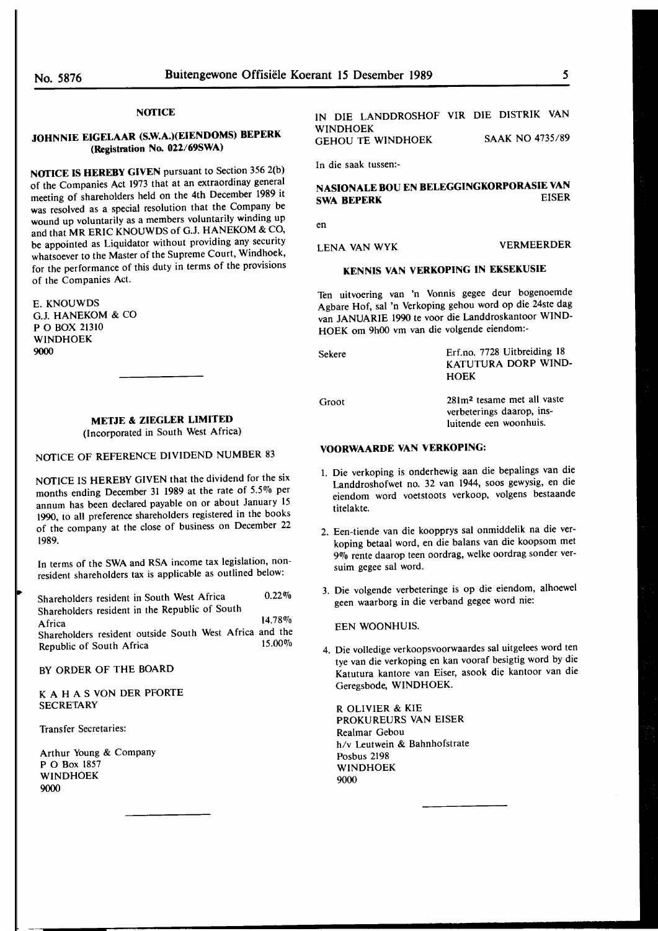#### **NOTICE**

#### **JOHNNIE EIGELAAR (S.W.A.)(EIENDOMS) BEPERK (Registration No. 022/69SWA)**

**NOTICE IS HEREBY GIVEN** pursuant to Section 356 2(b) of the Companies Act 1973 that at an extraordinay general meeting of shareholders held on the 4th December 1989 it was resolved as a special resolution that the Company be wound up voluntarily as a members voluntarily winding up and that MR ERIC KNOUWDS of G.J. HANEKOM & CO, be appointed as Liquidator without providing any security whatsoever to the Master of the Supreme Court, Windhoek, for the performance of this duty in terms of the provisions of the Companies Act.

E. **KNOUWDS**  G.J. **HANEKOM** & CO **PO BOX** 21310 **WINDHOEK 9000** 

### **METJE** & **ZIEGLER LIMITED**

(Incorporated in South West Africa)

### NOTICE OF REFERENCE DIVIDEND NUMBER 83

NOTICE IS HEREBY GIVEN that the dividend for the six months ending December 31 1989 at the rate of 5.5% per annum has been declared payable on or about January 15 **1990,** to all preference shareholders registered in the books of the company at the close of business on December 22 1989.

In terms of the SWA and RSA income tax legislation, nonresident shareholders tax is applicable as outlined below:

Shareholders resident in South West Africa  $0.22\%$ Shareholders resident in the Republic of South Africa  $14.78\%$ Shareholders resident outside South West Africa and the Republic of South Africa 15.00%

BY ORDER OF THE BOARD

K A H A S VON DER PFORTE **SECRETARY** 

Transfer Secretaries:

Arthur Young & Company PO Box 1857 WINDHOEK 9000

IN DIE **LANDDROSHOF VIR** DIE **DISTRIK VAN WINDHOEK**  GEHOU TE **WINDHOEK SAAK NO** 4735/89

In die saak tussen:-

### **NASIONALE BOU EN BELEGGINGKORPORASIE VAN SWA BEPERK** EISER

en

LENA VANWYK VERMEERDER

#### **KENNIS VAN VERKOPING IN EKSEKUSIE**

Ten uitvoering van 'n Vonnis gegee deur bogenoemde Agbare Hof, sal 'n Verkoping gehou word op die 24ste dag van **JANUARIE** 1990 te voor die Landdroskantoor **WIND-**HOEK om 9h00 vm van die volgende eiendom:-

| Sekere | Erf.no. 7728 Uitbreiding 18<br>KATUTURA DORP WIND-<br><b>HOEK</b>                             |
|--------|-----------------------------------------------------------------------------------------------|
| Groot  | 281m <sup>2</sup> tesame met all vaste<br>verbeterings daarop, ins-<br>luitende een woonhuis. |

#### **VOORWAARDE VAN VERKOPING:**

- I. Die verkoping is onderhewig aan die bepalings van die Landdroshofwet no. 32 van 1944, soos gewysig, en die eiendom word voetstoots verkoop, volgens bestaande titelakte.
- 2. Een-tiende van die koopprys sal onmiddelik na die verkoping betaal word, en die balans van die koopsom met *90Jo* rente daarop teen oordrag, welke oordrag sonder versuim gegee sal word.
- 3. Die volgende verbeteringe is op die eiendom, alhoewel geen waarborg in die verband gegee word nie:

EEN WOONHUIS.

4. Die volledige verkoopsvoorwaardes sal uitgelees word ten tye van die verkoping en kan vooraf besigtig word by die Katutura kantore van Eiser, asook die kantoor van die Geregsbode, WINDHOEK.

R OLIVIER & KIE PROKUREURS VAN EISER Realmar Gebou h/v Leutwein & Bahnhofstrate Posbus 2198 WINDHOEK 9000